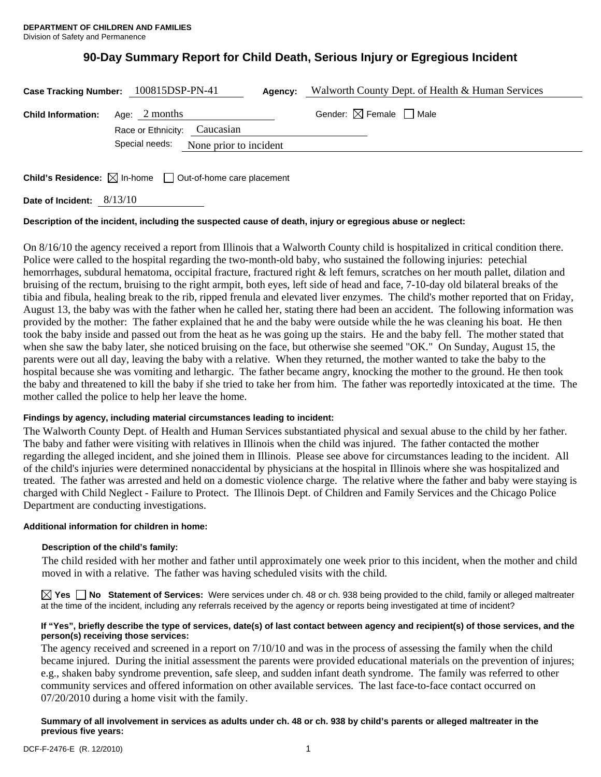# **90-Day Summary Report for Child Death, Serious Injury or Egregious Incident**

|                                                                                 | Case Tracking Number: 100815DSP-PN-41           | Agency: | Walworth County Dept. of Health & Human Services |
|---------------------------------------------------------------------------------|-------------------------------------------------|---------|--------------------------------------------------|
| <b>Child Information:</b>                                                       | Age: $2$ months<br>Race or Ethnicity: Caucasian |         | Gender: $\boxtimes$ Female $\Box$ Male           |
|                                                                                 | Special needs:<br>None prior to incident        |         |                                                  |
| <b>Child's Residence:</b> $\boxtimes$ In-home $\Box$ Out-of-home care placement |                                                 |         |                                                  |

**Date of Incident:** 8/13/10

# **Description of the incident, including the suspected cause of death, injury or egregious abuse or neglect:**

On 8/16/10 the agency received a report from Illinois that a Walworth County child is hospitalized in critical condition there. Police were called to the hospital regarding the two-month-old baby, who sustained the following injuries: petechial hemorrhages, subdural hematoma, occipital fracture, fractured right & left femurs, scratches on her mouth pallet, dilation and bruising of the rectum, bruising to the right armpit, both eyes, left side of head and face, 7-10-day old bilateral breaks of the tibia and fibula, healing break to the rib, ripped frenula and elevated liver enzymes. The child's mother reported that on Friday, August 13, the baby was with the father when he called her, stating there had been an accident. The following information was provided by the mother: The father explained that he and the baby were outside while the he was cleaning his boat. He then took the baby inside and passed out from the heat as he was going up the stairs. He and the baby fell. The mother stated that when she saw the baby later, she noticed bruising on the face, but otherwise she seemed "OK." On Sunday, August 15, the parents were out all day, leaving the baby with a relative. When they returned, the mother wanted to take the baby to the hospital because she was vomiting and lethargic. The father became angry, knocking the mother to the ground. He then took the baby and threatened to kill the baby if she tried to take her from him. The father was reportedly intoxicated at the time. The mother called the police to help her leave the home.

# **Findings by agency, including material circumstances leading to incident:**

The Walworth County Dept. of Health and Human Services substantiated physical and sexual abuse to the child by her father. The baby and father were visiting with relatives in Illinois when the child was injured. The father contacted the mother regarding the alleged incident, and she joined them in Illinois. Please see above for circumstances leading to the incident. All of the child's injuries were determined nonaccidental by physicians at the hospital in Illinois where she was hospitalized and treated. The father was arrested and held on a domestic violence charge. The relative where the father and baby were staying is charged with Child Neglect - Failure to Protect. The Illinois Dept. of Children and Family Services and the Chicago Police Department are conducting investigations.

#### **Additional information for children in home:**

#### **Description of the child's family:**

 The child resided with her mother and father until approximately one week prior to this incident, when the mother and child moved in with a relative. The father was having scheduled visits with the child.

**Yes No Statement of Services:** Were services under ch. 48 or ch. 938 being provided to the child, family or alleged maltreater at the time of the incident, including any referrals received by the agency or reports being investigated at time of incident?

## **If "Yes", briefly describe the type of services, date(s) of last contact between agency and recipient(s) of those services, and the person(s) receiving those services:**

The agency received and screened in a report on 7/10/10 and was in the process of assessing the family when the child became injured. During the initial assessment the parents were provided educational materials on the prevention of injures; e.g., shaken baby syndrome prevention, safe sleep, and sudden infant death syndrome. The family was referred to other community services and offered information on other available services. The last face-to-face contact occurred on 07/20/2010 during a home visit with the family.

## **Summary of all involvement in services as adults under ch. 48 or ch. 938 by child's parents or alleged maltreater in the previous five years:**